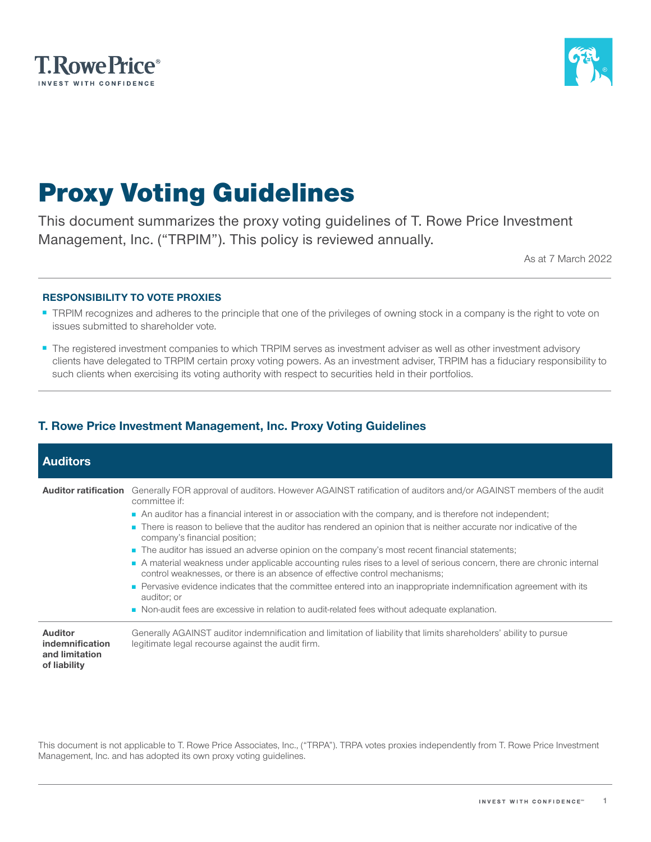



# Proxy Voting Guidelines

This document summarizes the proxy voting guidelines of T. Rowe Price Investment Management, Inc. ("TRPIM"). This policy is reviewed annually.

As at 7 March 2022

#### **RESPONSIBILITY TO VOTE PROXIES**

- TRPIM recognizes and adheres to the principle that one of the privileges of owning stock in a company is the right to vote on issues submitted to shareholder vote.
- The registered investment companies to which TRPIM serves as investment adviser as well as other investment advisory clients have delegated to TRPIM certain proxy voting powers. As an investment adviser, TRPIM has a fiduciary responsibility to such clients when exercising its voting authority with respect to securities held in their portfolios.

### **T. Rowe Price Investment Management, Inc. Proxy Voting Guidelines**

| <b>Auditors</b>                                                     |                                                                                                                                                                                                                                                                                                                                                                                                                                                                                                                                                                                                                                                                                                                                                                                                                                                                                                                                                                                  |
|---------------------------------------------------------------------|----------------------------------------------------------------------------------------------------------------------------------------------------------------------------------------------------------------------------------------------------------------------------------------------------------------------------------------------------------------------------------------------------------------------------------------------------------------------------------------------------------------------------------------------------------------------------------------------------------------------------------------------------------------------------------------------------------------------------------------------------------------------------------------------------------------------------------------------------------------------------------------------------------------------------------------------------------------------------------|
|                                                                     | <b>Auditor ratification</b> Generally FOR approval of auditors. However AGAINST ratification of auditors and/or AGAINST members of the audit<br>committee if:<br>An auditor has a financial interest in or association with the company, and is therefore not independent;<br>There is reason to believe that the auditor has rendered an opinion that is neither accurate nor indicative of the<br>company's financial position;<br>■ The auditor has issued an adverse opinion on the company's most recent financial statements;<br>A material weakness under applicable accounting rules rises to a level of serious concern, there are chronic internal<br>control weaknesses, or there is an absence of effective control mechanisms;<br>• Pervasive evidence indicates that the committee entered into an inappropriate indemnification agreement with its<br>auditor; or<br>Non-audit fees are excessive in relation to audit-related fees without adequate explanation. |
| <b>Auditor</b><br>indemnification<br>and limitation<br>of liability | Generally AGAINST auditor indemnification and limitation of liability that limits shareholders' ability to pursue<br>legitimate legal recourse against the audit firm.                                                                                                                                                                                                                                                                                                                                                                                                                                                                                                                                                                                                                                                                                                                                                                                                           |

This document is not applicable to T. Rowe Price Associates, Inc., ("TRPA"). TRPA votes proxies independently from T. Rowe Price Investment Management, Inc. and has adopted its own proxy voting guidelines.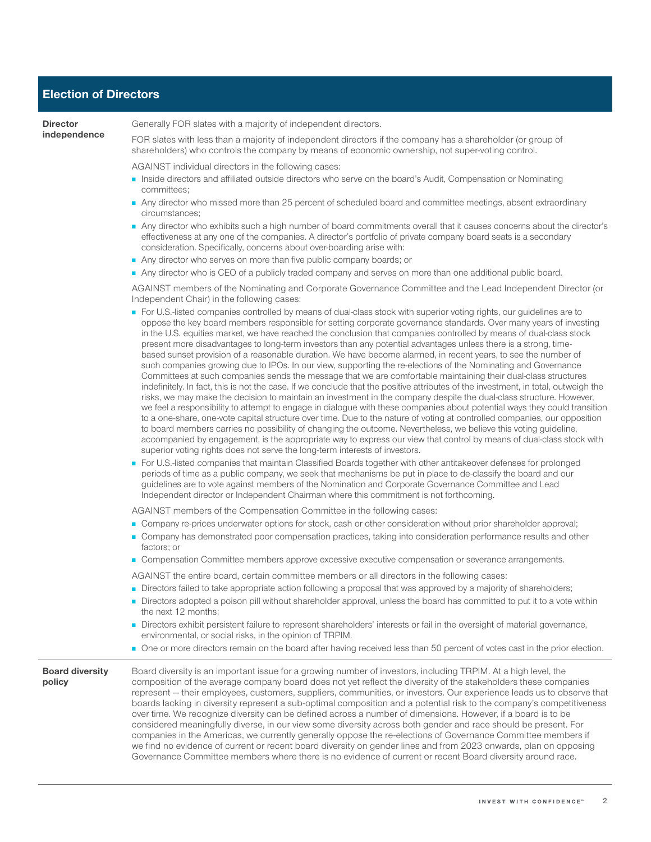#### **Election of Directors**

**Director independence** Generally FOR slates with a majority of independent directors.

FOR slates with less than a majority of independent directors if the company has a shareholder (or group of shareholders) who controls the company by means of economic ownership, not super-voting control.

AGAINST individual directors in the following cases:

- Inside directors and affiliated outside directors who serve on the board's Audit, Compensation or Nominating committees;
- Any director who missed more than 25 percent of scheduled board and committee meetings, absent extraordinary circumstances;
- Any director who exhibits such a high number of board commitments overall that it causes concerns about the director's effectiveness at any one of the companies. A director's portfolio of private company board seats is a secondary consideration. Specifically, concerns about over-boarding arise with:
- Any director who serves on more than five public company boards; or
- Any director who is CEO of a publicly traded company and serves on more than one additional public board.

AGAINST members of the Nominating and Corporate Governance Committee and the Lead Independent Director (or Independent Chair) in the following cases:

- For U.S.-listed companies controlled by means of dual-class stock with superior voting rights, our guidelines are to oppose the key board members responsible for setting corporate governance standards. Over many years of investing in the U.S. equities market, we have reached the conclusion that companies controlled by means of dual-class stock present more disadvantages to long-term investors than any potential advantages unless there is a strong, timebased sunset provision of a reasonable duration. We have become alarmed, in recent years, to see the number of such companies growing due to IPOs. In our view, supporting the re-elections of the Nominating and Governance Committees at such companies sends the message that we are comfortable maintaining their dual-class structures indefinitely. In fact, this is not the case. If we conclude that the positive attributes of the investment, in total, outweigh the risks, we may make the decision to maintain an investment in the company despite the dual-class structure. However, we feel a responsibility to attempt to engage in dialogue with these companies about potential ways they could transition to a one-share, one-vote capital structure over time. Due to the nature of voting at controlled companies, our opposition to board members carries no possibility of changing the outcome. Nevertheless, we believe this voting guideline, accompanied by engagement, is the appropriate way to express our view that control by means of dual-class stock with superior voting rights does not serve the long-term interests of investors.
- For U.S.-listed companies that maintain Classified Boards together with other antitakeover defenses for prolonged periods of time as a public company, we seek that mechanisms be put in place to de-classify the board and our guidelines are to vote against members of the Nomination and Corporate Governance Committee and Lead Independent director or Independent Chairman where this commitment is not forthcoming.

AGAINST members of the Compensation Committee in the following cases:

- Company re-prices underwater options for stock, cash or other consideration without prior shareholder approval;
- Company has demonstrated poor compensation practices, taking into consideration performance results and other factors; or
- Compensation Committee members approve excessive executive compensation or severance arrangements.
- AGAINST the entire board, certain committee members or all directors in the following cases:
- Directors failed to take appropriate action following a proposal that was approved by a majority of shareholders;
- Directors adopted a poison pill without shareholder approval, unless the board has committed to put it to a vote within the next 12 months;
- Directors exhibit persistent failure to represent shareholders' interests or fail in the oversight of material governance, environmental, or social risks, in the opinion of TRPIM.
- One or more directors remain on the board after having received less than 50 percent of votes cast in the prior election.

**Board diversity policy** Board diversity is an important issue for a growing number of investors, including TRPIM. At a high level, the composition of the average company board does not yet reflect the diversity of the stakeholders these companies represent — their employees, customers, suppliers, communities, or investors. Our experience leads us to observe that boards lacking in diversity represent a sub-optimal composition and a potential risk to the company's competitiveness over time. We recognize diversity can be defined across a number of dimensions. However, if a board is to be considered meaningfully diverse, in our view some diversity across both gender and race should be present. For companies in the Americas, we currently generally oppose the re-elections of Governance Committee members if we find no evidence of current or recent board diversity on gender lines and from 2023 onwards, plan on opposing Governance Committee members where there is no evidence of current or recent Board diversity around race.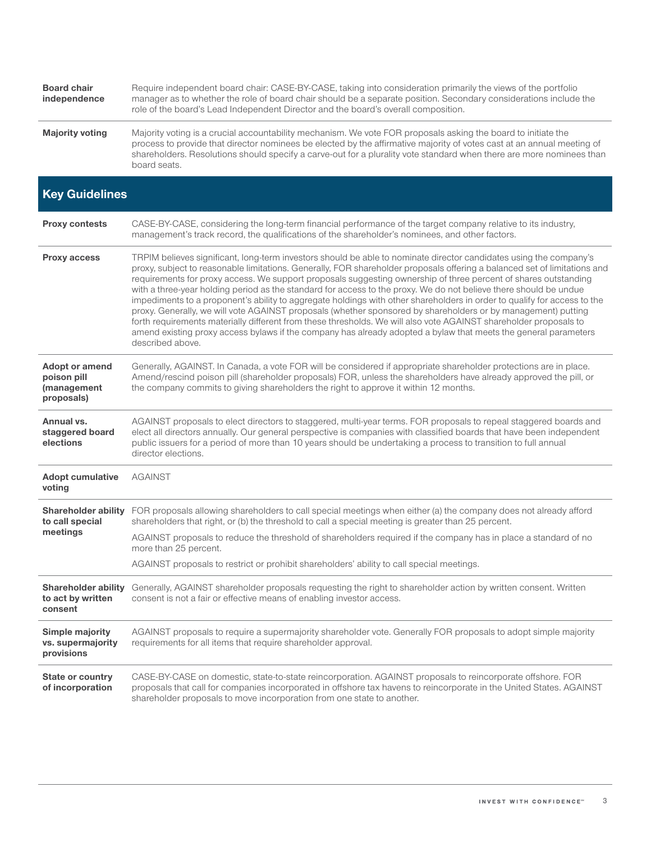| <b>Board chair</b><br>independence                                | Require independent board chair: CASE-BY-CASE, taking into consideration primarily the views of the portfolio<br>manager as to whether the role of board chair should be a separate position. Secondary considerations include the<br>role of the board's Lead Independent Director and the board's overall composition.                                                                                                                                                                                                                                                                                                                                                                                                                                                                                                                                                                                                                                                                         |
|-------------------------------------------------------------------|--------------------------------------------------------------------------------------------------------------------------------------------------------------------------------------------------------------------------------------------------------------------------------------------------------------------------------------------------------------------------------------------------------------------------------------------------------------------------------------------------------------------------------------------------------------------------------------------------------------------------------------------------------------------------------------------------------------------------------------------------------------------------------------------------------------------------------------------------------------------------------------------------------------------------------------------------------------------------------------------------|
| <b>Majority voting</b>                                            | Majority voting is a crucial accountability mechanism. We vote FOR proposals asking the board to initiate the<br>process to provide that director nominees be elected by the affirmative majority of votes cast at an annual meeting of<br>shareholders. Resolutions should specify a carve-out for a plurality vote standard when there are more nominees than<br>board seats.                                                                                                                                                                                                                                                                                                                                                                                                                                                                                                                                                                                                                  |
| <b>Key Guidelines</b>                                             |                                                                                                                                                                                                                                                                                                                                                                                                                                                                                                                                                                                                                                                                                                                                                                                                                                                                                                                                                                                                  |
| <b>Proxy contests</b>                                             | CASE-BY-CASE, considering the long-term financial performance of the target company relative to its industry,<br>management's track record, the qualifications of the shareholder's nominees, and other factors.                                                                                                                                                                                                                                                                                                                                                                                                                                                                                                                                                                                                                                                                                                                                                                                 |
| Proxy access                                                      | TRPIM believes significant, long-term investors should be able to nominate director candidates using the company's<br>proxy, subject to reasonable limitations. Generally, FOR shareholder proposals offering a balanced set of limitations and<br>requirements for proxy access. We support proposals suggesting ownership of three percent of shares outstanding<br>with a three-year holding period as the standard for access to the proxy. We do not believe there should be undue<br>impediments to a proponent's ability to aggregate holdings with other shareholders in order to qualify for access to the<br>proxy. Generally, we will vote AGAINST proposals (whether sponsored by shareholders or by management) putting<br>forth requirements materially different from these thresholds. We will also vote AGAINST shareholder proposals to<br>amend existing proxy access bylaws if the company has already adopted a bylaw that meets the general parameters<br>described above. |
| <b>Adopt or amend</b><br>poison pill<br>(management<br>proposals) | Generally, AGAINST. In Canada, a vote FOR will be considered if appropriate shareholder protections are in place.<br>Amend/rescind poison pill (shareholder proposals) FOR, unless the shareholders have already approved the pill, or<br>the company commits to giving shareholders the right to approve it within 12 months.                                                                                                                                                                                                                                                                                                                                                                                                                                                                                                                                                                                                                                                                   |
| Annual vs.<br>staggered board<br>elections                        | AGAINST proposals to elect directors to staggered, multi-year terms. FOR proposals to repeal staggered boards and<br>elect all directors annually. Our general perspective is companies with classified boards that have been independent<br>public issuers for a period of more than 10 years should be undertaking a process to transition to full annual<br>director elections.                                                                                                                                                                                                                                                                                                                                                                                                                                                                                                                                                                                                               |
| <b>Adopt cumulative</b><br>voting                                 | <b>AGAINST</b>                                                                                                                                                                                                                                                                                                                                                                                                                                                                                                                                                                                                                                                                                                                                                                                                                                                                                                                                                                                   |
| to call special<br>meetings                                       | Shareholder ability FOR proposals allowing shareholders to call special meetings when either (a) the company does not already afford<br>shareholders that right, or (b) the threshold to call a special meeting is greater than 25 percent.                                                                                                                                                                                                                                                                                                                                                                                                                                                                                                                                                                                                                                                                                                                                                      |
|                                                                   | AGAINST proposals to reduce the threshold of shareholders required if the company has in place a standard of no<br>more than 25 percent.                                                                                                                                                                                                                                                                                                                                                                                                                                                                                                                                                                                                                                                                                                                                                                                                                                                         |
|                                                                   | AGAINST proposals to restrict or prohibit shareholders' ability to call special meetings.                                                                                                                                                                                                                                                                                                                                                                                                                                                                                                                                                                                                                                                                                                                                                                                                                                                                                                        |
| Shareholder ability<br>to act by written<br>consent               | Generally, AGAINST shareholder proposals requesting the right to shareholder action by written consent. Written<br>consent is not a fair or effective means of enabling investor access.                                                                                                                                                                                                                                                                                                                                                                                                                                                                                                                                                                                                                                                                                                                                                                                                         |
| <b>Simple majority</b><br>vs. supermajority<br>provisions         | AGAINST proposals to require a supermajority shareholder vote. Generally FOR proposals to adopt simple majority<br>requirements for all items that require shareholder approval.                                                                                                                                                                                                                                                                                                                                                                                                                                                                                                                                                                                                                                                                                                                                                                                                                 |
| <b>State or country</b><br>of incorporation                       | CASE-BY-CASE on domestic, state-to-state reincorporation. AGAINST proposals to reincorporate offshore. FOR<br>proposals that call for companies incorporated in offshore tax havens to reincorporate in the United States. AGAINST<br>shareholder proposals to move incorporation from one state to another.                                                                                                                                                                                                                                                                                                                                                                                                                                                                                                                                                                                                                                                                                     |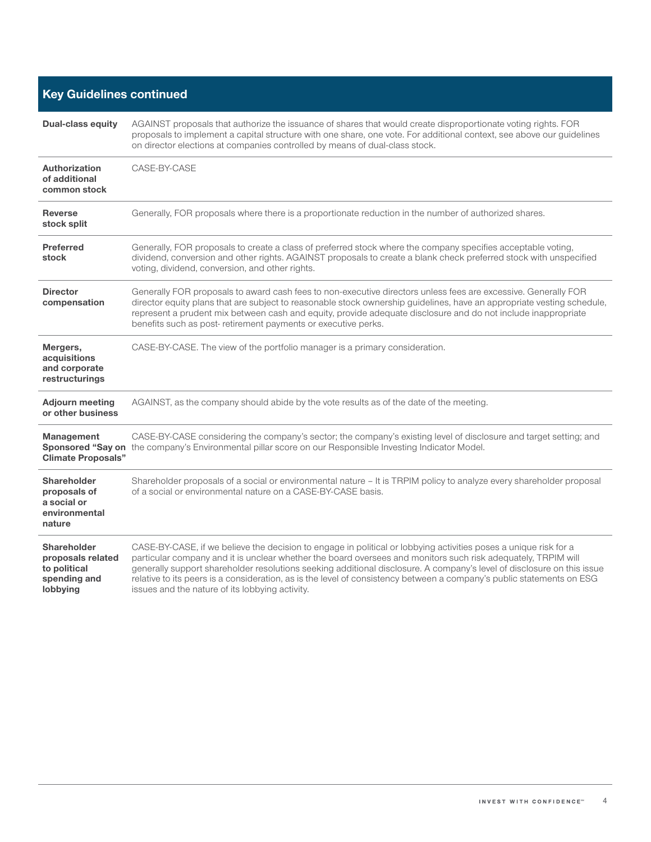## **Key Guidelines continued**

| <b>Dual-class equity</b>                                                            | AGAINST proposals that authorize the issuance of shares that would create disproportionate voting rights. FOR<br>proposals to implement a capital structure with one share, one vote. For additional context, see above our guidelines<br>on director elections at companies controlled by means of dual-class stock.                                                                                                                                                                                                                   |
|-------------------------------------------------------------------------------------|-----------------------------------------------------------------------------------------------------------------------------------------------------------------------------------------------------------------------------------------------------------------------------------------------------------------------------------------------------------------------------------------------------------------------------------------------------------------------------------------------------------------------------------------|
| <b>Authorization</b><br>of additional<br>common stock                               | CASE-BY-CASE                                                                                                                                                                                                                                                                                                                                                                                                                                                                                                                            |
| <b>Reverse</b><br>stock split                                                       | Generally, FOR proposals where there is a proportionate reduction in the number of authorized shares.                                                                                                                                                                                                                                                                                                                                                                                                                                   |
| <b>Preferred</b><br>stock                                                           | Generally, FOR proposals to create a class of preferred stock where the company specifies acceptable voting,<br>dividend, conversion and other rights. AGAINST proposals to create a blank check preferred stock with unspecified<br>voting, dividend, conversion, and other rights.                                                                                                                                                                                                                                                    |
| <b>Director</b><br>compensation                                                     | Generally FOR proposals to award cash fees to non-executive directors unless fees are excessive. Generally FOR<br>director equity plans that are subject to reasonable stock ownership guidelines, have an appropriate vesting schedule,<br>represent a prudent mix between cash and equity, provide adequate disclosure and do not include inappropriate<br>benefits such as post- retirement payments or executive perks.                                                                                                             |
| Mergers,<br>acquisitions<br>and corporate<br>restructurings                         | CASE-BY-CASE. The view of the portfolio manager is a primary consideration.                                                                                                                                                                                                                                                                                                                                                                                                                                                             |
| <b>Adjourn meeting</b><br>or other business                                         | AGAINST, as the company should abide by the vote results as of the date of the meeting.                                                                                                                                                                                                                                                                                                                                                                                                                                                 |
| Management<br><b>Climate Proposals"</b>                                             | CASE-BY-CASE considering the company's sector; the company's existing level of disclosure and target setting; and<br>Sponsored "Say on the company's Environmental pillar score on our Responsible Investing Indicator Model.                                                                                                                                                                                                                                                                                                           |
| <b>Shareholder</b><br>proposals of<br>a social or<br>environmental<br>nature        | Shareholder proposals of a social or environmental nature – It is TRPIM policy to analyze every shareholder proposal<br>of a social or environmental nature on a CASE-BY-CASE basis.                                                                                                                                                                                                                                                                                                                                                    |
| <b>Shareholder</b><br>proposals related<br>to political<br>spending and<br>lobbying | CASE-BY-CASE, if we believe the decision to engage in political or lobbying activities poses a unique risk for a<br>particular company and it is unclear whether the board oversees and monitors such risk adequately, TRPIM will<br>generally support shareholder resolutions seeking additional disclosure. A company's level of disclosure on this issue<br>relative to its peers is a consideration, as is the level of consistency between a company's public statements on ESG<br>issues and the nature of its lobbying activity. |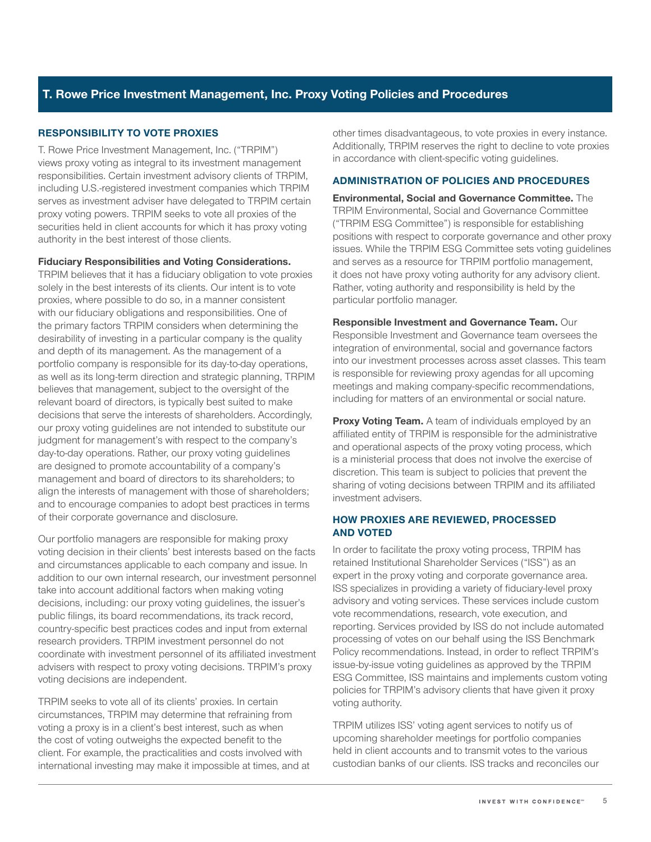#### **T. Rowe Price Investment Management, Inc. Proxy Voting Policies and Procedures**

#### **RESPONSIBILITY TO VOTE PROXIES**

T. Rowe Price Investment Management, Inc. ("TRPIM") views proxy voting as integral to its investment management responsibilities. Certain investment advisory clients of TRPIM, including U.S.-registered investment companies which TRPIM serves as investment adviser have delegated to TRPIM certain proxy voting powers. TRPIM seeks to vote all proxies of the securities held in client accounts for which it has proxy voting authority in the best interest of those clients.

#### **Fiduciary Responsibilities and Voting Considerations.**

TRPIM believes that it has a fiduciary obligation to vote proxies solely in the best interests of its clients. Our intent is to vote proxies, where possible to do so, in a manner consistent with our fiduciary obligations and responsibilities. One of the primary factors TRPIM considers when determining the desirability of investing in a particular company is the quality and depth of its management. As the management of a portfolio company is responsible for its day-to-day operations, as well as its long-term direction and strategic planning, TRPIM believes that management, subject to the oversight of the relevant board of directors, is typically best suited to make decisions that serve the interests of shareholders. Accordingly, our proxy voting guidelines are not intended to substitute our judgment for management's with respect to the company's day-to-day operations. Rather, our proxy voting guidelines are designed to promote accountability of a company's management and board of directors to its shareholders; to align the interests of management with those of shareholders; and to encourage companies to adopt best practices in terms of their corporate governance and disclosure.

Our portfolio managers are responsible for making proxy voting decision in their clients' best interests based on the facts and circumstances applicable to each company and issue. In addition to our own internal research, our investment personnel take into account additional factors when making voting decisions, including: our proxy voting guidelines, the issuer's public filings, its board recommendations, its track record, country-specific best practices codes and input from external research providers. TRPIM investment personnel do not coordinate with investment personnel of its affiliated investment advisers with respect to proxy voting decisions. TRPIM's proxy voting decisions are independent.

TRPIM seeks to vote all of its clients' proxies. In certain circumstances, TRPIM may determine that refraining from voting a proxy is in a client's best interest, such as when the cost of voting outweighs the expected benefit to the client. For example, the practicalities and costs involved with international investing may make it impossible at times, and at other times disadvantageous, to vote proxies in every instance. Additionally, TRPIM reserves the right to decline to vote proxies in accordance with client-specific voting guidelines.

#### **ADMINISTRATION OF POLICIES AND PROCEDURES**

**Environmental, Social and Governance Committee.** The TRPIM Environmental, Social and Governance Committee ("TRPIM ESG Committee") is responsible for establishing positions with respect to corporate governance and other proxy issues. While the TRPIM ESG Committee sets voting guidelines and serves as a resource for TRPIM portfolio management, it does not have proxy voting authority for any advisory client. Rather, voting authority and responsibility is held by the particular portfolio manager.

**Responsible Investment and Governance Team.** Our Responsible Investment and Governance team oversees the integration of environmental, social and governance factors into our investment processes across asset classes. This team is responsible for reviewing proxy agendas for all upcoming meetings and making company-specific recommendations, including for matters of an environmental or social nature.

**Proxy Voting Team.** A team of individuals employed by an affiliated entity of TRPIM is responsible for the administrative and operational aspects of the proxy voting process, which is a ministerial process that does not involve the exercise of discretion. This team is subject to policies that prevent the sharing of voting decisions between TRPIM and its affiliated investment advisers.

#### **HOW PROXIES ARE REVIEWED, PROCESSED AND VOTED**

In order to facilitate the proxy voting process, TRPIM has retained Institutional Shareholder Services ("ISS") as an expert in the proxy voting and corporate governance area. ISS specializes in providing a variety of fiduciary-level proxy advisory and voting services. These services include custom vote recommendations, research, vote execution, and reporting. Services provided by ISS do not include automated processing of votes on our behalf using the ISS Benchmark Policy recommendations. Instead, in order to reflect TRPIM's issue-by-issue voting guidelines as approved by the TRPIM ESG Committee, ISS maintains and implements custom voting policies for TRPIM's advisory clients that have given it proxy voting authority.

TRPIM utilizes ISS' voting agent services to notify us of upcoming shareholder meetings for portfolio companies held in client accounts and to transmit votes to the various custodian banks of our clients. ISS tracks and reconciles our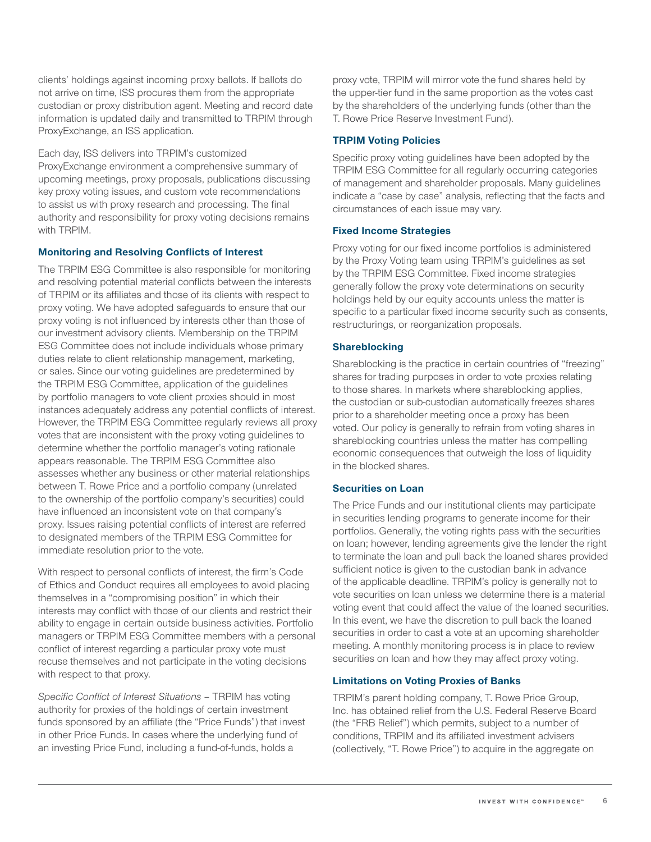clients' holdings against incoming proxy ballots. If ballots do not arrive on time, ISS procures them from the appropriate custodian or proxy distribution agent. Meeting and record date information is updated daily and transmitted to TRPIM through ProxyExchange, an ISS application.

Each day, ISS delivers into TRPIM's customized ProxyExchange environment a comprehensive summary of upcoming meetings, proxy proposals, publications discussing key proxy voting issues, and custom vote recommendations to assist us with proxy research and processing. The final authority and responsibility for proxy voting decisions remains with TRPIM.

#### **Monitoring and Resolving Conflicts of Interest**

The TRPIM ESG Committee is also responsible for monitoring and resolving potential material conflicts between the interests of TRPIM or its affiliates and those of its clients with respect to proxy voting. We have adopted safeguards to ensure that our proxy voting is not influenced by interests other than those of our investment advisory clients. Membership on the TRPIM ESG Committee does not include individuals whose primary duties relate to client relationship management, marketing, or sales. Since our voting guidelines are predetermined by the TRPIM ESG Committee, application of the guidelines by portfolio managers to vote client proxies should in most instances adequately address any potential conflicts of interest. However, the TRPIM ESG Committee regularly reviews all proxy votes that are inconsistent with the proxy voting guidelines to determine whether the portfolio manager's voting rationale appears reasonable. The TRPIM ESG Committee also assesses whether any business or other material relationships between T. Rowe Price and a portfolio company (unrelated to the ownership of the portfolio company's securities) could have influenced an inconsistent vote on that company's proxy. Issues raising potential conflicts of interest are referred to designated members of the TRPIM ESG Committee for immediate resolution prior to the vote.

With respect to personal conflicts of interest, the firm's Code of Ethics and Conduct requires all employees to avoid placing themselves in a "compromising position" in which their interests may conflict with those of our clients and restrict their ability to engage in certain outside business activities. Portfolio managers or TRPIM ESG Committee members with a personal conflict of interest regarding a particular proxy vote must recuse themselves and not participate in the voting decisions with respect to that proxy.

*Specific Conflict of Interest Situations* – TRPIM has voting authority for proxies of the holdings of certain investment funds sponsored by an affiliate (the "Price Funds") that invest in other Price Funds. In cases where the underlying fund of an investing Price Fund, including a fund-of-funds, holds a

proxy vote, TRPIM will mirror vote the fund shares held by the upper-tier fund in the same proportion as the votes cast by the shareholders of the underlying funds (other than the T. Rowe Price Reserve Investment Fund).

#### **TRPIM Voting Policies**

Specific proxy voting guidelines have been adopted by the TRPIM ESG Committee for all regularly occurring categories of management and shareholder proposals. Many guidelines indicate a "case by case" analysis, reflecting that the facts and circumstances of each issue may vary.

#### **Fixed Income Strategies**

Proxy voting for our fixed income portfolios is administered by the Proxy Voting team using TRPIM's guidelines as set by the TRPIM ESG Committee. Fixed income strategies generally follow the proxy vote determinations on security holdings held by our equity accounts unless the matter is specific to a particular fixed income security such as consents, restructurings, or reorganization proposals.

#### **Shareblocking**

Shareblocking is the practice in certain countries of "freezing" shares for trading purposes in order to vote proxies relating to those shares. In markets where shareblocking applies, the custodian or sub-custodian automatically freezes shares prior to a shareholder meeting once a proxy has been voted. Our policy is generally to refrain from voting shares in shareblocking countries unless the matter has compelling economic consequences that outweigh the loss of liquidity in the blocked shares.

#### **Securities on Loan**

The Price Funds and our institutional clients may participate in securities lending programs to generate income for their portfolios. Generally, the voting rights pass with the securities on loan; however, lending agreements give the lender the right to terminate the loan and pull back the loaned shares provided sufficient notice is given to the custodian bank in advance of the applicable deadline. TRPIM's policy is generally not to vote securities on loan unless we determine there is a material voting event that could affect the value of the loaned securities. In this event, we have the discretion to pull back the loaned securities in order to cast a vote at an upcoming shareholder meeting. A monthly monitoring process is in place to review securities on loan and how they may affect proxy voting.

#### **Limitations on Voting Proxies of Banks**

TRPIM's parent holding company, T. Rowe Price Group, Inc. has obtained relief from the U.S. Federal Reserve Board (the "FRB Relief") which permits, subject to a number of conditions, TRPIM and its affiliated investment advisers (collectively, "T. Rowe Price") to acquire in the aggregate on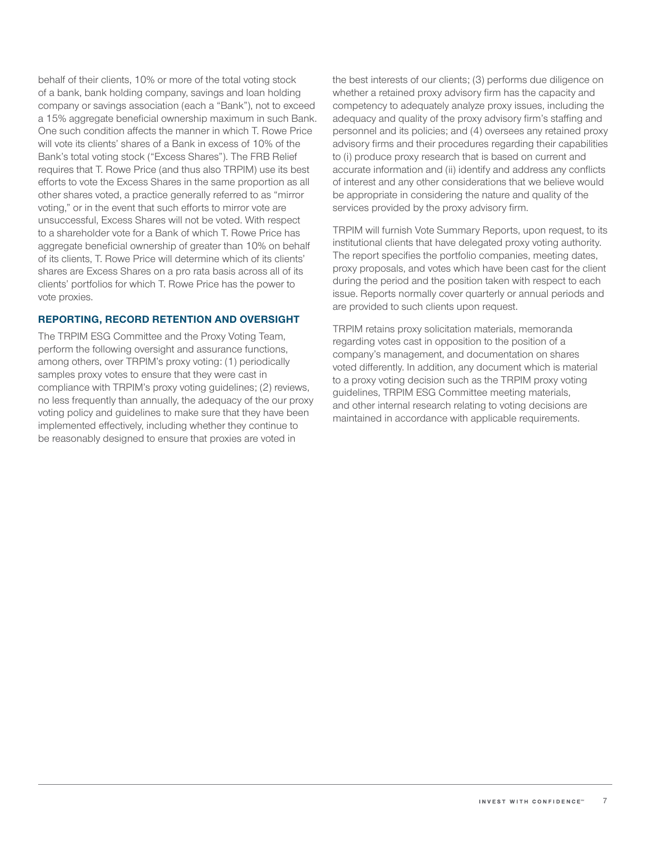behalf of their clients, 10% or more of the total voting stock of a bank, bank holding company, savings and loan holding company or savings association (each a "Bank"), not to exceed a 15% aggregate beneficial ownership maximum in such Bank. One such condition affects the manner in which T. Rowe Price will vote its clients' shares of a Bank in excess of 10% of the Bank's total voting stock ("Excess Shares"). The FRB Relief requires that T. Rowe Price (and thus also TRPIM) use its best efforts to vote the Excess Shares in the same proportion as all other shares voted, a practice generally referred to as "mirror voting," or in the event that such efforts to mirror vote are unsuccessful, Excess Shares will not be voted. With respect to a shareholder vote for a Bank of which T. Rowe Price has aggregate beneficial ownership of greater than 10% on behalf of its clients, T. Rowe Price will determine which of its clients' shares are Excess Shares on a pro rata basis across all of its clients' portfolios for which T. Rowe Price has the power to vote proxies.

#### **REPORTING, RECORD RETENTION AND OVERSIGHT**

The TRPIM ESG Committee and the Proxy Voting Team, perform the following oversight and assurance functions, among others, over TRPIM's proxy voting: (1) periodically samples proxy votes to ensure that they were cast in compliance with TRPIM's proxy voting guidelines; (2) reviews, no less frequently than annually, the adequacy of the our proxy voting policy and guidelines to make sure that they have been implemented effectively, including whether they continue to be reasonably designed to ensure that proxies are voted in

the best interests of our clients; (3) performs due diligence on whether a retained proxy advisory firm has the capacity and competency to adequately analyze proxy issues, including the adequacy and quality of the proxy advisory firm's staffing and personnel and its policies; and (4) oversees any retained proxy advisory firms and their procedures regarding their capabilities to (i) produce proxy research that is based on current and accurate information and (ii) identify and address any conflicts of interest and any other considerations that we believe would be appropriate in considering the nature and quality of the services provided by the proxy advisory firm.

TRPIM will furnish Vote Summary Reports, upon request, to its institutional clients that have delegated proxy voting authority. The report specifies the portfolio companies, meeting dates, proxy proposals, and votes which have been cast for the client during the period and the position taken with respect to each issue. Reports normally cover quarterly or annual periods and are provided to such clients upon request.

TRPIM retains proxy solicitation materials, memoranda regarding votes cast in opposition to the position of a company's management, and documentation on shares voted differently. In addition, any document which is material to a proxy voting decision such as the TRPIM proxy voting guidelines, TRPIM ESG Committee meeting materials, and other internal research relating to voting decisions are maintained in accordance with applicable requirements.